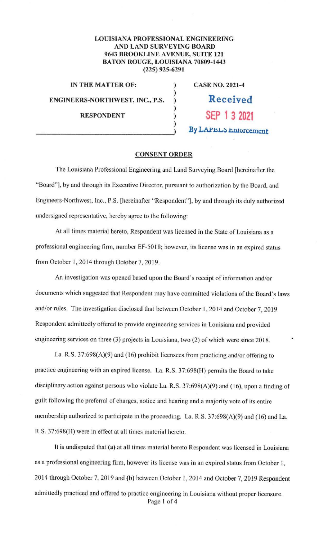## **LOUISIANA PROFESSIONAL ENGINEERING AND LAND SURVEYING BOARD 9643 BROOKLINE AVENUE, SUITE 121 BATON ROUGE, LOUISIANA 70809-1443 (225) 925-6291**

)

)

)

**IN THE MATTER OF:** ) **ENGINEERS-NORTHWEST, INC., P.S.** ) **RESPONDENT** )

**CASE NO. 2021-4 Received** 

By LAPEL<sub>S</sub> Enforcement

**SEP 1 3 2021** 

## **CONSENT ORDER**

The Louisiana Professional Engineering and Land Surveying Board (hereinafter the "Board"], by and through its Executive Director, pursuant to authorization by the Board, and Engineers-Northwest, Inc., P.S. [hereinafter "Respondent"], by and through its duly authorized undersigned representative, hereby agree to the following:

At all times material hereto, Respondent was licensed in the State of Louisiana as a professional engineering firm, number EF-5018; however, its license was in an expired status from October 1, 2014 through October 7, 2019.

An investigation was opened based upon the Board's receipt of information and/or documents which suggested that Respondent may have committed violations of the Board's Jaws and/or rules. The investigation disclosed that between October 1, 2014 and October 7, 2019 Respondent admittedly offered to provide engineering services in Louisiana and provided engineering services on three (3) projects in Louisiana, two (2) of which were since 2018.

La. R.S. 37:698(A)(9) and (16) prohibit licensees from practicing and/or offering to practice engineering with an expired license. La. R.S. 37:698(H) permits the Board to take disciplinary action against persons who violate La. R.S. 37:698(A)(9) and (16), upon a finding of guilt following the preferral of charges, notice and hearing and a majority vote of its entire membership authorized to participate in the proceeding. La. R.S. 37:698(A)(9) and (16) and La. R.S. 37:698(H) were in effect at all times material hereto.

It is undisputed that **(a)** at all times material hereto Respondent was licensed in Louisiana as a professional engineering firm, however its license was in an expired status from October I, 2014 through October 7, 2019 and **(b)** between October 1, 2014 and October 7, 2019 Respondent admittedly practiced and offered to practice engineering in Louisiana without proper licensure. Page 1 of 4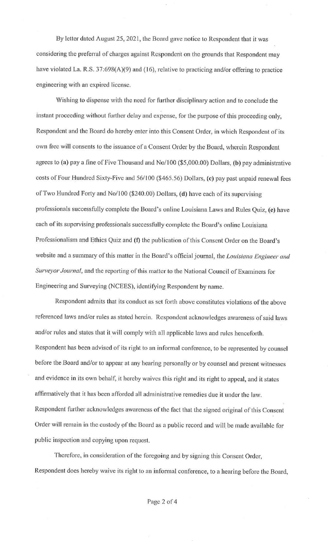By letter dated August 25, 2021, the Board gave notice lo Respondent that it was considering the preferral of charges against Respondent on the grounds that Respondent may have violated La. R.S. 37:698(A)(9) and (16), relative to practicing and/or offering to practice engineering with an expired license.

Wishing to dispense with the need for further disciplinary action and to conclude the instant proceeding without further delay and expense, for the purpose of this proceeding only, Respondent and the Board do hereby enter into this Consent Order, in which Respondent of its own free will consents to the issuance of a Consent Order by the Board, wherein Respondent agrees to **(a)** pay a fine of Five Thousand and No/100 (\$5,000.00) Dollars, **(b)** pay administrative costs of Four Hundred Sixty-Five and 56/100 (\$465.56) Dollars, (c) pay past unpaid renewal fees of Two Hundred Forty and No/100 (\$240.00) Dollars, (d) have each of its supervising professionals successfully complete the Board's online Louisiana Laws and Rules Quiz, (e) have each of its supervising professionals successfully complete the Board's on line Louisiana Professionalism and Ethics Quiz and (f) the publication of this Consent Order on the Board's website and a summary of this matter in the Board's official journal, the *Louisiana Engineer and Surveyor Journal*, and the reporting of this matter to the National Council of Examiners for Engineering and Surveying (NCEES), identifying Respondent by name.

Respondent admits that its conduct as set forth above constitutes violations of the above referenced laws and/or rules as stated herein. Respondent acknowledges awareness of said laws and/or rules and states that it will comply with all applicable laws and rules henceforth. Respondent has been advised of its right to an informal conference, to be represented by counsel before the Board and/or to appear at any hearing personally or by counsel and present witnesses and evidence in its own behalf, it hereby waives this right and its right to appeal, and it states affirmatively that it has been afforded all administrative remedies due it under the law. Respondent further acknowledges awareness of the fact that the signed original of this Consent Order will remain in the custody of the Board as a public record and will be made available for public inspection and copying upon request.

Therefore, in consideration of the foregoing and by signing this Consent Order, Respondent does hereby waive its right to an informal conference, to a hearing before the Board,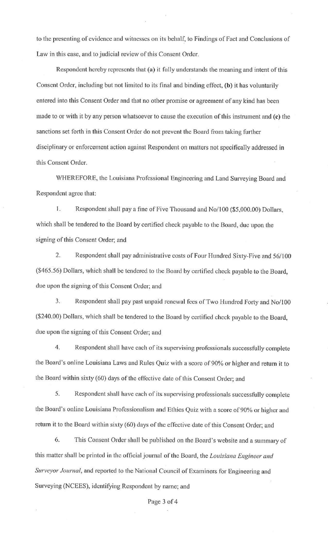to the presenting of evidence and witnesses on its behalf, to Findings of Fact and Conclusions of Law in this case, and to judicial review of this Consent Order.

Respondent hereby represents that (a) it fully understands the meaning and intent of this Consent Order, including but not limited to its final and binding effect, **(b)** it has voluntarily entered into this Consent Order and that no other promise or agreement of any kind has been made to or with it by any person whatsoever to cause the execution of this instrument and (c) the sanctions set forth in this Consent Order do not prevent the Board from taking further disciplinary or enforcement action against Respondent on matters not specifically addressed in this Consent Order.

WHEREFORE, the Louisiana Professional Engineering and Land Surveying Board and Respondent agree that:

I. Respondent shall pay a fine of Five Thousand and No/100 (\$5,000.00) Dollars, which shall be tendered to the Board by certified check payable to the Board, due upon the signing of this Consent Order; and

2. Respondent shall pay administrative costs of Four Hundred Sixty-Five and 56/100 (\$465.56) Dollars, which shall be tendered to the Board by certified check payable to the Board, due upon the signing of this Consent Order; and

3. Respondent shall pay past unpaid renewal fees of Two Hundred Forty and No/100 (\$240.00) Dollars, which shall be tendered to the Board by certified check payable to the Board, due upon the signing of this Consent Order; and

4. Respondent shall have each of its supervising professionals successfully complete the Board's on line Louisiana Laws and Rules Quiz with a score of 90% or higher and return it to the Board within sixty (60) days of the effective date of this Consent Order; and

5. Respondent shall have each of its supervising professionals successfully complete the Board's online Louisiana Professionalism and Ethics Quiz with a score of 90% or higher and return it to the Board within sixty (60) days of the effective date of this Consent Order; and

6. This Consent Order shall be published on the Board's website and a summary of this matter shall be printed in the official journal of the Board, the *Louisiana Engineer and Surveyor Journal,* and reported to the National Council of Examiners for Engineering and Surveying (NCEES), identifying Respondent by name; and

Page 3 of 4